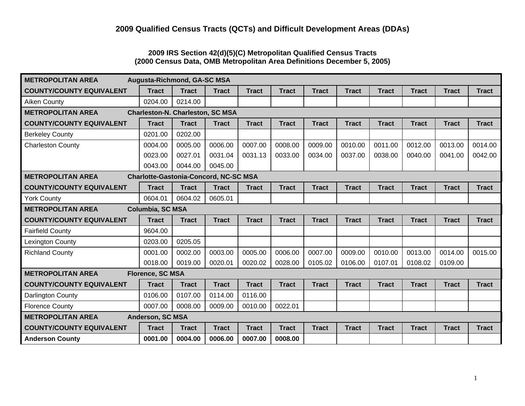#### **2009 IRS Section 42(d)(5)(C) Metropolitan Qualified Census Tracts (2000 Census Data, OMB Metropolitan Area Definitions December 5, 2005)**

| <b>METROPOLITAN AREA</b><br>Augusta-Richmond, GA-SC MSA                  |                  |              |              |              |              |              |              |              |              |              |              |
|--------------------------------------------------------------------------|------------------|--------------|--------------|--------------|--------------|--------------|--------------|--------------|--------------|--------------|--------------|
| <b>COUNTY/COUNTY EQUIVALENT</b>                                          | <b>Tract</b>     | <b>Tract</b> | <b>Tract</b> | <b>Tract</b> | <b>Tract</b> | <b>Tract</b> | <b>Tract</b> | <b>Tract</b> | <b>Tract</b> | <b>Tract</b> | <b>Tract</b> |
| <b>Aiken County</b>                                                      | 0204.00          | 0214.00      |              |              |              |              |              |              |              |              |              |
| <b>METROPOLITAN AREA</b><br><b>Charleston-N. Charleston, SC MSA</b>      |                  |              |              |              |              |              |              |              |              |              |              |
| <b>COUNTY/COUNTY EQUIVALENT</b>                                          | <b>Tract</b>     | <b>Tract</b> | <b>Tract</b> | <b>Tract</b> | <b>Tract</b> | <b>Tract</b> | <b>Tract</b> | <b>Tract</b> | <b>Tract</b> | <b>Tract</b> | <b>Tract</b> |
| <b>Berkeley County</b>                                                   | 0201.00          | 0202.00      |              |              |              |              |              |              |              |              |              |
| <b>Charleston County</b>                                                 | 0004.00          | 0005.00      | 0006.00      | 0007.00      | 0008.00      | 0009.00      | 0010.00      | 0011.00      | 0012.00      | 0013.00      | 0014.00      |
|                                                                          | 0023.00          | 0027.01      | 0031.04      | 0031.13      | 0033.00      | 0034.00      | 0037.00      | 0038.00      | 0040.00      | 0041.00      | 0042.00      |
|                                                                          | 0043.00          | 0044.00      | 0045.00      |              |              |              |              |              |              |              |              |
| <b>METROPOLITAN AREA</b><br><b>Charlotte-Gastonia-Concord, NC-SC MSA</b> |                  |              |              |              |              |              |              |              |              |              |              |
| <b>COUNTY/COUNTY EQUIVALENT</b>                                          | <b>Tract</b>     | <b>Tract</b> | <b>Tract</b> | <b>Tract</b> | <b>Tract</b> | <b>Tract</b> | <b>Tract</b> | <b>Tract</b> | <b>Tract</b> | <b>Tract</b> | <b>Tract</b> |
| <b>York County</b>                                                       | 0604.01          | 0604.02      | 0605.01      |              |              |              |              |              |              |              |              |
| <b>METROPOLITAN AREA</b>                                                 | Columbia, SC MSA |              |              |              |              |              |              |              |              |              |              |
| <b>COUNTY/COUNTY EQUIVALENT</b>                                          | <b>Tract</b>     | <b>Tract</b> | <b>Tract</b> | <b>Tract</b> | <b>Tract</b> | <b>Tract</b> | <b>Tract</b> | <b>Tract</b> | <b>Tract</b> | <b>Tract</b> | <b>Tract</b> |
| <b>Fairfield County</b>                                                  | 9604.00          |              |              |              |              |              |              |              |              |              |              |
| <b>Lexington County</b>                                                  | 0203.00          | 0205.05      |              |              |              |              |              |              |              |              |              |
| <b>Richland County</b>                                                   | 0001.00          | 0002.00      | 0003.00      | 0005.00      | 0006.00      | 0007.00      | 0009.00      | 0010.00      | 0013.00      | 0014.00      | 0015.00      |
|                                                                          | 0018.00          | 0019.00      | 0020.01      | 0020.02      | 0028.00      | 0105.02      | 0106.00      | 0107.01      | 0108.02      | 0109.00      |              |
| <b>METROPOLITAN AREA</b>                                                 | Florence, SC MSA |              |              |              |              |              |              |              |              |              |              |
| <b>COUNTY/COUNTY EQUIVALENT</b>                                          | <b>Tract</b>     | <b>Tract</b> | <b>Tract</b> | <b>Tract</b> | <b>Tract</b> | <b>Tract</b> | <b>Tract</b> | <b>Tract</b> | <b>Tract</b> | <b>Tract</b> | <b>Tract</b> |
| Darlington County                                                        | 0106.00          | 0107.00      | 0114.00      | 0116.00      |              |              |              |              |              |              |              |
| <b>Florence County</b>                                                   | 0007.00          | 0008.00      | 0009.00      | 0010.00      | 0022.01      |              |              |              |              |              |              |
| <b>METROPOLITAN AREA</b><br>Anderson, SC MSA                             |                  |              |              |              |              |              |              |              |              |              |              |
| <b>COUNTY/COUNTY EQUIVALENT</b>                                          | <b>Tract</b>     | <b>Tract</b> | <b>Tract</b> | <b>Tract</b> | <b>Tract</b> | <b>Tract</b> | <b>Tract</b> | <b>Tract</b> | <b>Tract</b> | <b>Tract</b> | <b>Tract</b> |
| <b>Anderson County</b>                                                   | 0001.00          | 0004.00      | 0006.00      | 0007.00      | 0008.00      |              |              |              |              |              |              |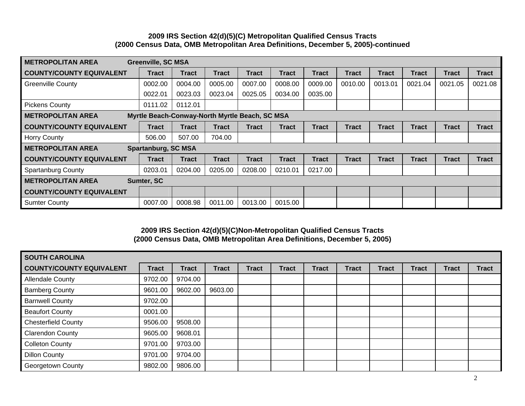### **2009 IRS Section 42(d)(5)(C) Metropolitan Qualified Census Tracts (2000 Census Data, OMB Metropolitan Area Definitions, December 5, 2005)-continued**

| <b>METROPOLITAN AREA</b>                                                   | <b>Greenville, SC MSA</b>  |              |              |              |              |              |              |              |              |              |              |
|----------------------------------------------------------------------------|----------------------------|--------------|--------------|--------------|--------------|--------------|--------------|--------------|--------------|--------------|--------------|
| <b>COUNTY/COUNTY EQUIVALENT</b>                                            | <b>Tract</b>               | <b>Tract</b> | <b>Tract</b> | <b>Tract</b> | Tract        | <b>Tract</b> | <b>Tract</b> | <b>Tract</b> | <b>Tract</b> | <b>Tract</b> | <b>Tract</b> |
| <b>Greenville County</b>                                                   | 0002.00                    | 0004.00      | 0005.00      | 0007.00      | 0008.00      | 0009.00      | 0010.00      | 0013.01      | 0021.04      | 0021.05      | 0021.08      |
|                                                                            | 0022.01                    | 0023.03      | 0023.04      | 0025.05      | 0034.00      | 0035.00      |              |              |              |              |              |
| <b>Pickens County</b>                                                      | 0111.02                    | 0112.01      |              |              |              |              |              |              |              |              |              |
| Myrtle Beach-Conway-North Myrtle Beach, SC MSA<br><b>METROPOLITAN AREA</b> |                            |              |              |              |              |              |              |              |              |              |              |
| <b>COUNTY/COUNTY EQUIVALENT</b>                                            | <b>Tract</b>               | <b>Tract</b> | <b>Tract</b> | <b>Tract</b> | <b>Tract</b> | <b>Tract</b> | Tract        | <b>Tract</b> | <b>Tract</b> | <b>Tract</b> | <b>Tract</b> |
| <b>Horry County</b>                                                        | 506.00                     | 507.00       | 704.00       |              |              |              |              |              |              |              |              |
| <b>METROPOLITAN AREA</b>                                                   | <b>Spartanburg, SC MSA</b> |              |              |              |              |              |              |              |              |              |              |
| <b>COUNTY/COUNTY EQUIVALENT</b>                                            | <b>Tract</b>               | <b>Tract</b> | <b>Tract</b> | <b>Tract</b> | Tract        | <b>Tract</b> | Tract        | <b>Tract</b> | <b>Tract</b> | <b>Tract</b> | <b>Tract</b> |
| <b>Spartanburg County</b>                                                  | 0203.01                    | 0204.00      | 0205.00      | 0208.00      | 0210.01      | 0217.00      |              |              |              |              |              |
| <b>METROPOLITAN AREA</b><br>Sumter, SC                                     |                            |              |              |              |              |              |              |              |              |              |              |
| <b>COUNTY/COUNTY EQUIVALENT</b>                                            |                            |              |              |              |              |              |              |              |              |              |              |
| <b>Sumter County</b>                                                       | 0007.00                    | 0008.98      | 0011.00      | 0013.00      | 0015.00      |              |              |              |              |              |              |

### **2009 IRS Section 42(d)(5)(C)Non-Metropolitan Qualified Census Tracts (2000 Census Data, OMB Metropolitan Area Definitions, December 5, 2005)**

| <b>SOUTH CAROLINA</b>           |              |              |              |              |              |              |              |              |              |              |              |
|---------------------------------|--------------|--------------|--------------|--------------|--------------|--------------|--------------|--------------|--------------|--------------|--------------|
| <b>COUNTY/COUNTY EQUIVALENT</b> | <b>Tract</b> | <b>Tract</b> | <b>Tract</b> | <b>Tract</b> | <b>Tract</b> | <b>Tract</b> | <b>Tract</b> | <b>Tract</b> | <b>Tract</b> | <b>Tract</b> | <b>Tract</b> |
| <b>Allendale County</b>         | 9702.00      | 9704.00      |              |              |              |              |              |              |              |              |              |
| <b>Bamberg County</b>           | 9601.00      | 9602.00      | 9603.00      |              |              |              |              |              |              |              |              |
| <b>Barnwell County</b>          | 9702.00      |              |              |              |              |              |              |              |              |              |              |
| <b>Beaufort County</b>          | 0001.00      |              |              |              |              |              |              |              |              |              |              |
| <b>Chesterfield County</b>      | 9506.00      | 9508.00      |              |              |              |              |              |              |              |              |              |
| <b>Clarendon County</b>         | 9605.00      | 9608.01      |              |              |              |              |              |              |              |              |              |
| <b>Colleton County</b>          | 9701.00      | 9703.00      |              |              |              |              |              |              |              |              |              |
| <b>Dillon County</b>            | 9701.00      | 9704.00      |              |              |              |              |              |              |              |              |              |
| <b>Georgetown County</b>        | 9802.00      | 9806.00      |              |              |              |              |              |              |              |              |              |